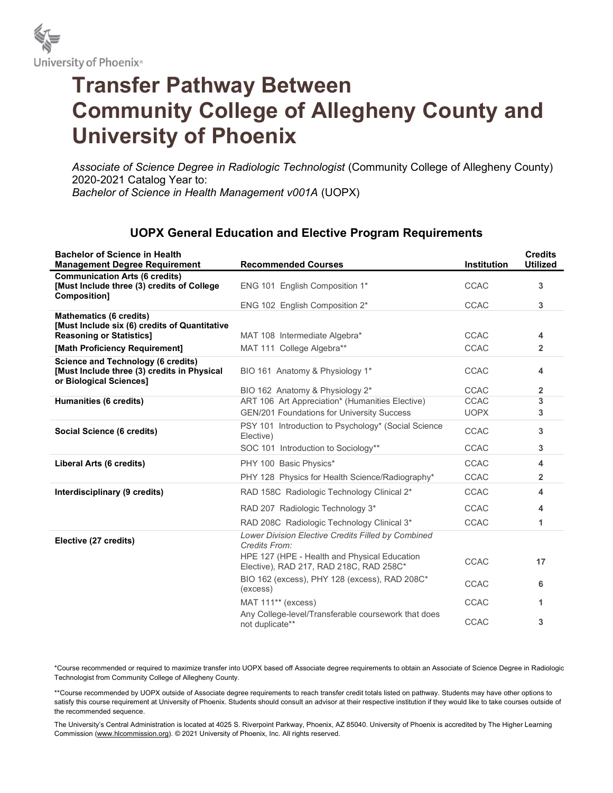

## Transfer Pathway Between Community College of Allegheny County and University of Phoenix

Associate of Science Degree in Radiologic Technologist (Community College of Allegheny County) 2020-2021 Catalog Year to: Bachelor of Science in Health Management v001A (UOPX)

## UOPX General Education and Elective Program Requirements

| <b>Bachelor of Science in Health</b><br><b>Management Degree Requirement</b>                                        | <b>Recommended Courses</b>                                                              | Institution | <b>Credits</b><br><b>Utilized</b> |
|---------------------------------------------------------------------------------------------------------------------|-----------------------------------------------------------------------------------------|-------------|-----------------------------------|
| <b>Communication Arts (6 credits)</b><br>[Must Include three (3) credits of College<br>Composition]                 | ENG 101 English Composition 1*                                                          | <b>CCAC</b> | 3                                 |
|                                                                                                                     | ENG 102 English Composition 2*                                                          | <b>CCAC</b> | 3                                 |
| <b>Mathematics (6 credits)</b>                                                                                      |                                                                                         |             |                                   |
| [Must Include six (6) credits of Quantitative<br><b>Reasoning or Statistics]</b>                                    | MAT 108 Intermediate Algebra*                                                           | <b>CCAC</b> | 4                                 |
| [Math Proficiency Requirement]                                                                                      | MAT 111 College Algebra**                                                               | <b>CCAC</b> | $\overline{2}$                    |
| <b>Science and Technology (6 credits)</b><br>[Must Include three (3) credits in Physical<br>or Biological Sciences] | BIO 161 Anatomy & Physiology 1*                                                         | <b>CCAC</b> | 4                                 |
|                                                                                                                     | BIO 162 Anatomy & Physiology 2*                                                         | <b>CCAC</b> | 2                                 |
| <b>Humanities (6 credits)</b>                                                                                       | ART 106 Art Appreciation* (Humanities Elective)                                         | CCAC        | 3                                 |
|                                                                                                                     | <b>GEN/201 Foundations for University Success</b>                                       | <b>UOPX</b> | 3                                 |
| Social Science (6 credits)                                                                                          | PSY 101 Introduction to Psychology* (Social Science<br>Elective)                        | <b>CCAC</b> | 3                                 |
|                                                                                                                     | SOC 101 Introduction to Sociology**                                                     | <b>CCAC</b> | 3                                 |
| Liberal Arts (6 credits)                                                                                            | PHY 100 Basic Physics*                                                                  | <b>CCAC</b> | 4                                 |
|                                                                                                                     | PHY 128 Physics for Health Science/Radiography*                                         | <b>CCAC</b> | $\overline{2}$                    |
| Interdisciplinary (9 credits)                                                                                       | RAD 158C Radiologic Technology Clinical 2*                                              | <b>CCAC</b> | 4                                 |
|                                                                                                                     | RAD 207 Radiologic Technology 3*                                                        | <b>CCAC</b> | 4                                 |
|                                                                                                                     | RAD 208C Radiologic Technology Clinical 3*                                              | <b>CCAC</b> | 1                                 |
| Elective (27 credits)                                                                                               | Lower Division Elective Credits Filled by Combined<br>Credits From:                     |             |                                   |
|                                                                                                                     | HPE 127 (HPE - Health and Physical Education<br>Elective), RAD 217, RAD 218C, RAD 258C* | <b>CCAC</b> | 17                                |
|                                                                                                                     | BIO 162 (excess), PHY 128 (excess), RAD 208C*<br>(excess)                               | CCAC        | 6                                 |
|                                                                                                                     | MAT 111** (excess)                                                                      | <b>CCAC</b> | 1                                 |
|                                                                                                                     | Any College-level/Transferable coursework that does<br>not duplicate**                  | CCAC        | 3                                 |

\*Course recommended or required to maximize transfer into UOPX based off Associate degree requirements to obtain an Associate of Science Degree in Radiologic Technologist from Community College of Allegheny County.

\*\*Course recommended by UOPX outside of Associate degree requirements to reach transfer credit totals listed on pathway. Students may have other options to satisfy this course requirement at University of Phoenix. Students should consult an advisor at their respective institution if they would like to take courses outside of the recommended sequence.

The University's Central Administration is located at 4025 S. Riverpoint Parkway, Phoenix, AZ 85040. University of Phoenix is accredited by The Higher Learning Commission (www.hlcommission.org). © 2021 University of Phoenix, Inc. All rights reserved.